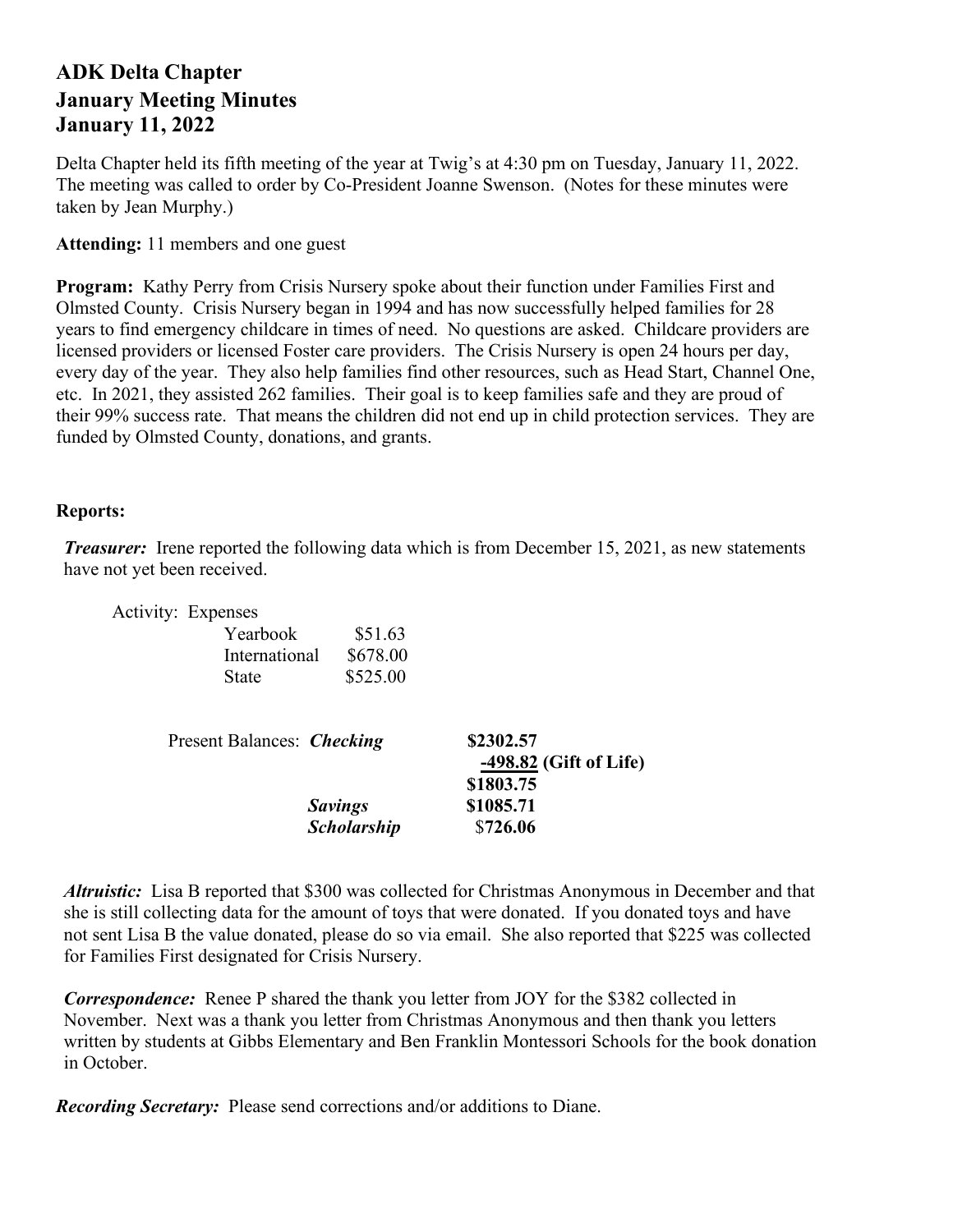## **ADK Delta Chapter January Meeting Minutes January 11, 2022**

Delta Chapter held its fifth meeting of the year at Twig's at 4:30 pm on Tuesday, January 11, 2022. The meeting was called to order by Co-President Joanne Swenson. (Notes for these minutes were taken by Jean Murphy.)

**Attending:** 11 members and one guest

**Program:** Kathy Perry from Crisis Nursery spoke about their function under Families First and Olmsted County. Crisis Nursery began in 1994 and has now successfully helped families for 28 years to find emergency childcare in times of need. No questions are asked. Childcare providers are licensed providers or licensed Foster care providers. The Crisis Nursery is open 24 hours per day, every day of the year. They also help families find other resources, such as Head Start, Channel One, etc. In 2021, they assisted 262 families. Their goal is to keep families safe and they are proud of their 99% success rate. That means the children did not end up in child protection services. They are funded by Olmsted County, donations, and grants.

## **Reports:**

*Treasurer:* Irene reported the following data which is from December 15, 2021, as new statements have not yet been received.

|                                   | Activity: Expenses |                    |                                                  |
|-----------------------------------|--------------------|--------------------|--------------------------------------------------|
|                                   | Yearbook           | \$51.63            |                                                  |
|                                   | International      | \$678.00           |                                                  |
|                                   | State              | \$525.00           |                                                  |
| Present Balances: <i>Checking</i> |                    |                    | \$2302.57<br>-498.82 (Gift of Life)<br>\$1803.75 |
|                                   |                    | <b>Savings</b>     | \$1085.71                                        |
|                                   |                    | <b>Scholarship</b> | \$726.06                                         |

*Altruistic:* Lisa B reported that \$300 was collected for Christmas Anonymous in December and that she is still collecting data for the amount of toys that were donated. If you donated toys and have not sent Lisa B the value donated, please do so via email. She also reported that \$225 was collected for Families First designated for Crisis Nursery.

*Correspondence:* Renee P shared the thank you letter from JOY for the \$382 collected in November. Next was a thank you letter from Christmas Anonymous and then thank you letters written by students at Gibbs Elementary and Ben Franklin Montessori Schools for the book donation in October.

*Recording Secretary:* Please send corrections and/or additions to Diane.